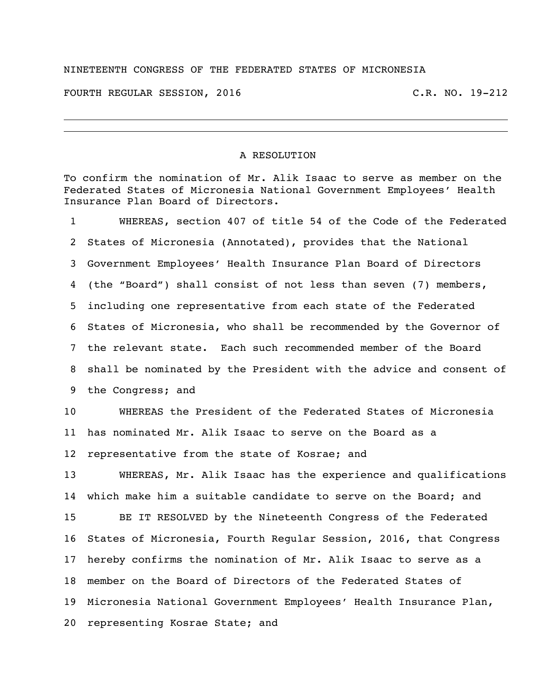## NINETEENTH CONGRESS OF THE FEDERATED STATES OF MICRONESIA

FOURTH REGULAR SESSION, 2016 C.R. NO. 19-212

## A RESOLUTION

To confirm the nomination of Mr. Alik Isaac to serve as member on the Federated States of Micronesia National Government Employees' Health Insurance Plan Board of Directors.

 WHEREAS, section 407 of title 54 of the Code of the Federated States of Micronesia (Annotated), provides that the National Government Employees' Health Insurance Plan Board of Directors (the "Board") shall consist of not less than seven (7) members, including one representative from each state of the Federated States of Micronesia, who shall be recommended by the Governor of the relevant state. Each such recommended member of the Board shall be nominated by the President with the advice and consent of the Congress; and

 WHEREAS the President of the Federated States of Micronesia has nominated Mr. Alik Isaac to serve on the Board as a representative from the state of Kosrae; and

 WHEREAS, Mr. Alik Isaac has the experience and qualifications which make him a suitable candidate to serve on the Board; and

 BE IT RESOLVED by the Nineteenth Congress of the Federated States of Micronesia, Fourth Regular Session, 2016, that Congress hereby confirms the nomination of Mr. Alik Isaac to serve as a member on the Board of Directors of the Federated States of Micronesia National Government Employees' Health Insurance Plan, representing Kosrae State; and